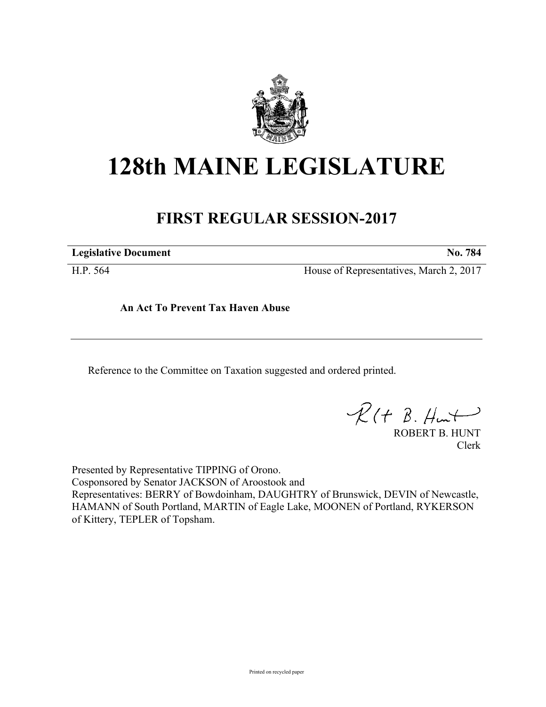

## **128th MAINE LEGISLATURE**

## **FIRST REGULAR SESSION-2017**

**Legislative Document No. 784**

H.P. 564 House of Representatives, March 2, 2017

**An Act To Prevent Tax Haven Abuse**

Reference to the Committee on Taxation suggested and ordered printed.

 $R(H B. Hmt)$ 

ROBERT B. HUNT Clerk

Presented by Representative TIPPING of Orono. Cosponsored by Senator JACKSON of Aroostook and Representatives: BERRY of Bowdoinham, DAUGHTRY of Brunswick, DEVIN of Newcastle, HAMANN of South Portland, MARTIN of Eagle Lake, MOONEN of Portland, RYKERSON of Kittery, TEPLER of Topsham.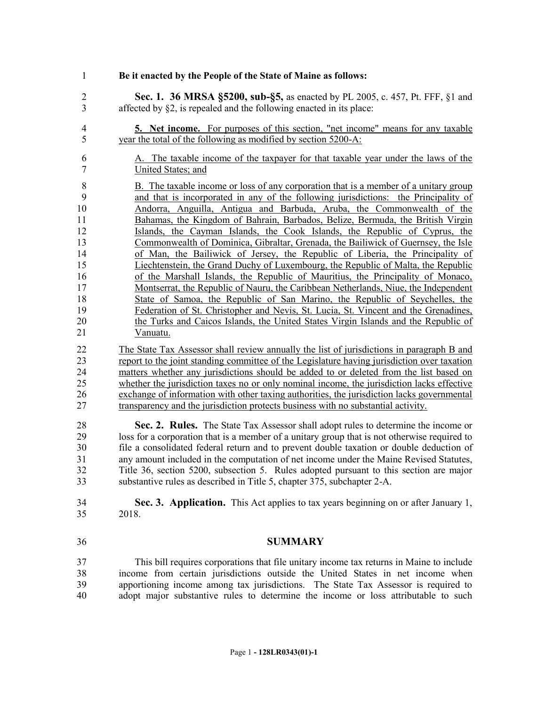- **Be it enacted by the People of the State of Maine as follows:**
- **Sec. 1. 36 MRSA §5200, sub-§5,** as enacted by PL 2005, c. 457, Pt. FFF, §1 and affected by §2, is repealed and the following enacted in its place:
- **5. Net income.** For purposes of this section, "net income" means for any taxable year the total of the following as modified by section 5200-A:
- A. The taxable income of the taxpayer for that taxable year under the laws of the United States; and
- B. The taxable income or loss of any corporation that is a member of a unitary group and that is incorporated in any of the following jurisdictions: the Principality of Andorra, Anguilla, Antigua and Barbuda, Aruba, the Commonwealth of the Bahamas, the Kingdom of Bahrain, Barbados, Belize, Bermuda, the British Virgin Islands, the Cayman Islands, the Cook Islands, the Republic of Cyprus, the Commonwealth of Dominica, Gibraltar, Grenada, the Bailiwick of Guernsey, the Isle of Man, the Bailiwick of Jersey, the Republic of Liberia, the Principality of Liechtenstein, the Grand Duchy of Luxembourg, the Republic of Malta, the Republic of the Marshall Islands, the Republic of Mauritius, the Principality of Monaco, Montserrat, the Republic of Nauru, the Caribbean Netherlands, Niue, the Independent State of Samoa, the Republic of San Marino, the Republic of Seychelles, the Federation of St. Christopher and Nevis, St. Lucia, St. Vincent and the Grenadines, the Turks and Caicos Islands, the United States Virgin Islands and the Republic of Vanuatu.
- The State Tax Assessor shall review annually the list of jurisdictions in paragraph B and report to the joint standing committee of the Legislature having jurisdiction over taxation 24 matters whether any jurisdictions should be added to or deleted from the list based on whether the iurisdiction taxes no or only nominal income, the iurisdiction lacks effective whether the jurisdiction taxes no or only nominal income, the jurisdiction lacks effective exchange of information with other taxing authorities, the jurisdiction lacks governmental transparency and the jurisdiction protects business with no substantial activity.

 **Sec. 2. Rules.** The State Tax Assessor shall adopt rules to determine the income or loss for a corporation that is a member of a unitary group that is not otherwise required to file a consolidated federal return and to prevent double taxation or double deduction of any amount included in the computation of net income under the Maine Revised Statutes, Title 36, section 5200, subsection 5. Rules adopted pursuant to this section are major substantive rules as described in Title 5, chapter 375, subchapter 2-A.

- **Sec. 3. Application.** This Act applies to tax years beginning on or after January 1, 2018.
- 

## **SUMMARY**

 This bill requires corporations that file unitary income tax returns in Maine to include income from certain jurisdictions outside the United States in net income when apportioning income among tax jurisdictions. The State Tax Assessor is required to adopt major substantive rules to determine the income or loss attributable to such